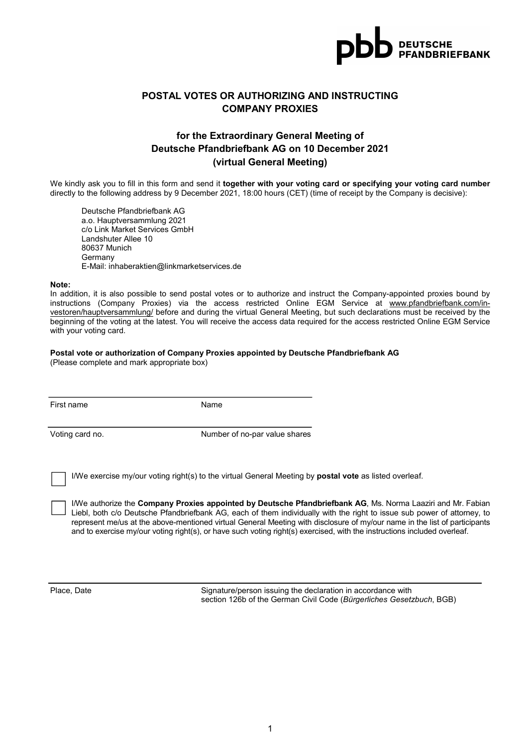

## POSTAL VOTES OR AUTHORIZING AND INSTRUCTING COMPANY PROXIES

## for the Extraordinary General Meeting of Deutsche Pfandbriefbank AG on 10 December 2021 (virtual General Meeting)

We kindly ask you to fill in this form and send it together with your voting card or specifying your voting card number directly to the following address by 9 December 2021, 18:00 hours (CET) (time of receipt by the Company is decisive):

Deutsche Pfandbriefbank AG a.o. Hauptversammlung 2021 c/o Link Market Services GmbH Landshuter Allee 10 80637 Munich Germany E-Mail: inhaberaktien@linkmarketservices.de

#### Note:

In addition, it is also possible to send postal votes or to authorize and instruct the Company-appointed proxies bound by instructions (Company Proxies) via the access restricted Online EGM Service at www.pfandbriefbank.com/investoren/hauptversammlung/ before and during the virtual General Meeting, but such declarations must be received by the beginning of the voting at the latest. You will receive the access data required for the access restricted Online EGM Service with your voting card.

#### Postal vote or authorization of Company Proxies appointed by Deutsche Pfandbriefbank AG

(Please complete and mark appropriate box)

First name Name

Voting card no. The state of no-par value shares

I/We exercise my/our voting right(s) to the virtual General Meeting by postal vote as listed overleaf.

I/We authorize the Company Proxies appointed by Deutsche Pfandbriefbank AG, Ms. Norma Laaziri and Mr. Fabian Liebl, both c/o Deutsche Pfandbriefbank AG, each of them individually with the right to issue sub power of attorney, to represent me/us at the above-mentioned virtual General Meeting with disclosure of my/our name in the list of participants and to exercise my/our voting right(s), or have such voting right(s) exercised, with the instructions included overleaf.

Place, Date Signature/person issuing the declaration in accordance with section 126b of the German Civil Code (Bürgerliches Gesetzbuch, BGB)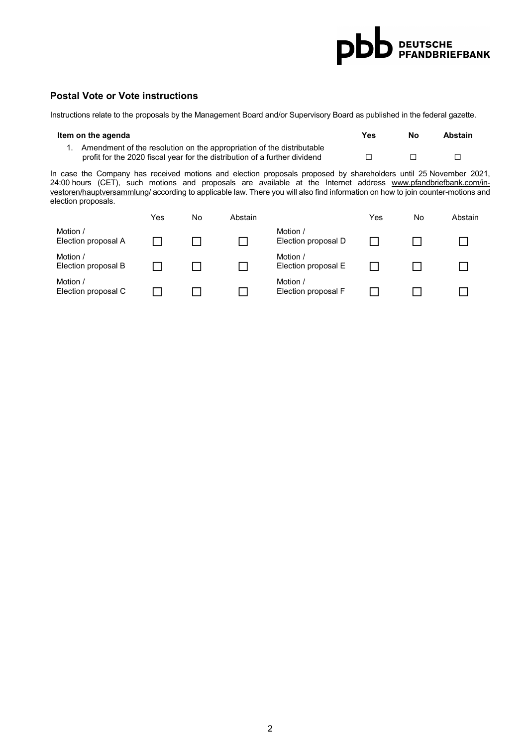# pb DEUTSCHE<br>DEUTSCHE

## Postal Vote or Vote instructions

Instructions relate to the proposals by the Management Board and/or Supervisory Board as published in the federal gazette.

| Item on the agenda |                                                                            |  | Nο | Abstain |
|--------------------|----------------------------------------------------------------------------|--|----|---------|
|                    | 1. Amendment of the resolution on the appropriation of the distributable   |  |    |         |
|                    | profit for the 2020 fiscal year for the distribution of a further dividend |  |    |         |

In case the Company has received motions and election proposals proposed by shareholders until 25 November 2021, 24:00 hours (CET), such motions and proposals are available at the Internet address www.pfandbriefbank.com/investoren/hauptversammlung/ according to applicable law. There you will also find information on how to join counter-motions and election proposals.

|                                 | Yes | No | Abstain |                                 | Yes | No | Abstain |
|---------------------------------|-----|----|---------|---------------------------------|-----|----|---------|
| Motion /<br>Election proposal A |     |    |         | Motion /<br>Election proposal D |     |    |         |
| Motion /<br>Election proposal B |     |    |         | Motion /<br>Election proposal E |     |    |         |
| Motion /<br>Election proposal C |     |    |         | Motion /<br>Election proposal F |     |    |         |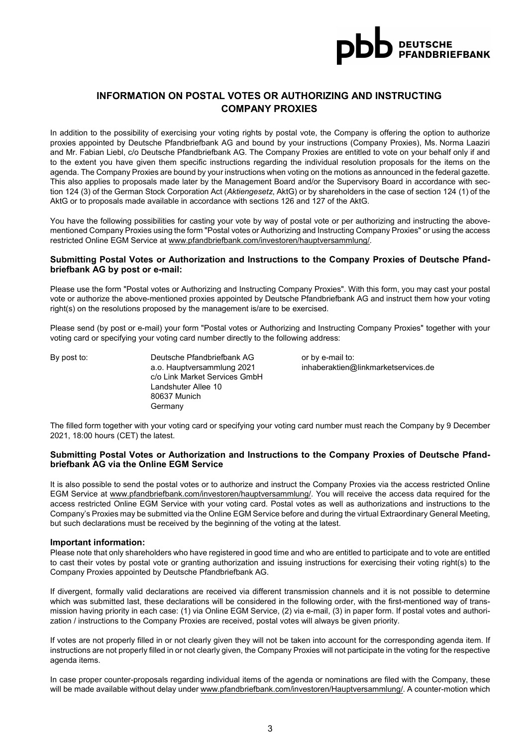

## INFORMATION ON POSTAL VOTES OR AUTHORIZING AND INSTRUCTING COMPANY PROXIES

In addition to the possibility of exercising your voting rights by postal vote, the Company is offering the option to authorize proxies appointed by Deutsche Pfandbriefbank AG and bound by your instructions (Company Proxies), Ms. Norma Laaziri and Mr. Fabian Liebl, c/o Deutsche Pfandbriefbank AG. The Company Proxies are entitled to vote on your behalf only if and to the extent you have given them specific instructions regarding the individual resolution proposals for the items on the agenda. The Company Proxies are bound by your instructions when voting on the motions as announced in the federal gazette. This also applies to proposals made later by the Management Board and/or the Supervisory Board in accordance with section 124 (3) of the German Stock Corporation Act (Aktiengesetz, AktG) or by shareholders in the case of section 124 (1) of the AktG or to proposals made available in accordance with sections 126 and 127 of the AktG.

You have the following possibilities for casting your vote by way of postal vote or per authorizing and instructing the abovementioned Company Proxies using the form "Postal votes or Authorizing and Instructing Company Proxies" or using the access restricted Online EGM Service at www.pfandbriefbank.com/investoren/hauptversammlung/.

#### Submitting Postal Votes or Authorization and Instructions to the Company Proxies of Deutsche Pfandbriefbank AG by post or e-mail:

Please use the form "Postal votes or Authorizing and Instructing Company Proxies". With this form, you may cast your postal vote or authorize the above-mentioned proxies appointed by Deutsche Pfandbriefbank AG and instruct them how your voting right(s) on the resolutions proposed by the management is/are to be exercised.

Please send (by post or e-mail) your form "Postal votes or Authorizing and Instructing Company Proxies" together with your voting card or specifying your voting card number directly to the following address:

By post to: Deutsche Pfandbriefbank AG or by e-mail to: c/o Link Market Services GmbH Landshuter Allee 10 80637 Munich Germany

a.o. Hauptversammlung 2021 inhaberaktien@linkmarketservices.de

The filled form together with your voting card or specifying your voting card number must reach the Company by 9 December 2021, 18:00 hours (CET) the latest.

### Submitting Postal Votes or Authorization and Instructions to the Company Proxies of Deutsche Pfandbriefbank AG via the Online EGM Service

It is also possible to send the postal votes or to authorize and instruct the Company Proxies via the access restricted Online EGM Service at www.pfandbriefbank.com/investoren/hauptversammlung/. You will receive the access data required for the access restricted Online EGM Service with your voting card. Postal votes as well as authorizations and instructions to the Company's Proxies may be submitted via the Online EGM Service before and during the virtual Extraordinary General Meeting, but such declarations must be received by the beginning of the voting at the latest.

#### Important information:

Please note that only shareholders who have registered in good time and who are entitled to participate and to vote are entitled to cast their votes by postal vote or granting authorization and issuing instructions for exercising their voting right(s) to the Company Proxies appointed by Deutsche Pfandbriefbank AG.

If divergent, formally valid declarations are received via different transmission channels and it is not possible to determine which was submitted last, these declarations will be considered in the following order, with the first-mentioned way of transmission having priority in each case: (1) via Online EGM Service, (2) via e-mail, (3) in paper form. If postal votes and authorization / instructions to the Company Proxies are received, postal votes will always be given priority.

If votes are not properly filled in or not clearly given they will not be taken into account for the corresponding agenda item. If instructions are not properly filled in or not clearly given, the Company Proxies will not participate in the voting for the respective agenda items.

In case proper counter-proposals regarding individual items of the agenda or nominations are filed with the Company, these will be made available without delay under www.pfandbriefbank.com/investoren/Hauptversammlung/. A counter-motion which